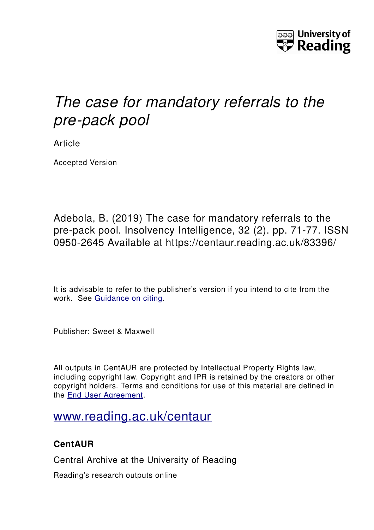

# *The case for mandatory referrals to the pre-pack pool*

Article

Accepted Version

Adebola, B. (2019) The case for mandatory referrals to the pre-pack pool. Insolvency Intelligence, 32 (2). pp. 71-77. ISSN 0950-2645 Available at https://centaur.reading.ac.uk/83396/

It is advisable to refer to the publisher's version if you intend to cite from the work. See [Guidance on citing.](http://centaur.reading.ac.uk/71187/10/CentAUR%20citing%20guide.pdf)

Publisher: Sweet & Maxwell

All outputs in CentAUR are protected by Intellectual Property Rights law, including copyright law. Copyright and IPR is retained by the creators or other copyright holders. Terms and conditions for use of this material are defined in the [End User Agreement.](http://centaur.reading.ac.uk/licence)

[www.reading.ac.uk/centaur](http://www.reading.ac.uk/centaur)

# **CentAUR**

Central Archive at the University of Reading

Reading's research outputs online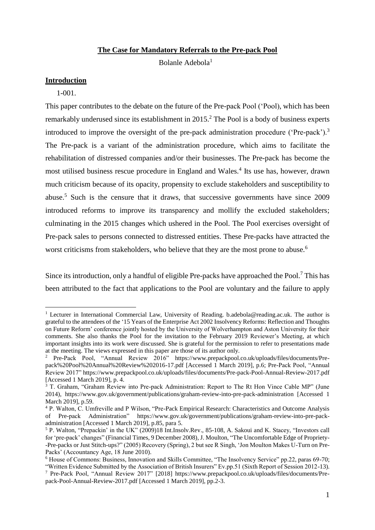#### **The Case for Mandatory Referrals to the Pre-pack Pool**

Bolanle Adebola<sup>1</sup>

#### **Introduction**

#### 1-001.

<u>.</u>

This paper contributes to the debate on the future of the Pre-pack Pool ('Pool), which has been remarkably underused since its establishment in 2015.<sup>2</sup> The Pool is a body of business experts introduced to improve the oversight of the pre-pack administration procedure ('Pre-pack').<sup>3</sup> The Pre-pack is a variant of the administration procedure, which aims to facilitate the rehabilitation of distressed companies and/or their businesses. The Pre-pack has become the most utilised business rescue procedure in England and Wales.<sup>4</sup> Its use has, however, drawn much criticism because of its opacity, propensity to exclude stakeholders and susceptibility to abuse. <sup>5</sup> Such is the censure that it draws, that successive governments have since 2009 introduced reforms to improve its transparency and mollify the excluded stakeholders; culminating in the 2015 changes which ushered in the Pool. The Pool exercises oversight of Pre-pack sales to persons connected to distressed entities. These Pre-packs have attracted the worst criticisms from stakeholders, who believe that they are the most prone to abuse.<sup>6</sup>

Since its introduction, only a handful of eligible Pre-packs have approached the Pool.<sup>7</sup> This has been attributed to the fact that applications to the Pool are voluntary and the failure to apply

<sup>&</sup>lt;sup>1</sup> Lecturer in International Commercial Law, University of Reading. b.adebola@reading.ac.uk. The author is grateful to the attendees of the '15 Years of the Enterprise Act 2002 Insolvency Reforms: Reflection and Thoughts on Future Reform' conference jointly hosted by the University of Wolverhampton and Aston University for their comments. She also thanks the Pool for the invitation to the February 2019 Reviewer's Meeting, at which important insights into its work were discussed. She is grateful for the permission to refer to presentations made at the meeting. The views expressed in this paper are those of its author only.

<sup>2</sup> Pre-Pack Pool, "Annual Review 2016" https://www.prepackpool.co.uk/uploads/files/documents/Prepack%20Pool%20Annual%20Review%202016-17.pdf [Accessed 1 March 2019], p.6; Pre-Pack Pool, "Annual Review 2017" https://www.prepackpool.co.uk/uploads/files/documents/Pre-pack-Pool-Annual-Review-2017.pdf [Accessed 1 March 2019], p. 4.

<sup>&</sup>lt;sup>3</sup> T. Graham, "Graham Review into Pre-pack Administration: Report to The Rt Hon Vince Cable MP" (June 2014), https://www.gov.uk/government/publications/graham-review-into-pre-pack-administration [Accessed 1 March 2019], p.59.

<sup>4</sup> P. Walton, C. Umfreville and P Wilson, "Pre-Pack Empirical Research: Characteristics and Outcome Analysis of Pre-pack Administration" https://www.gov.uk/government/publications/graham-review-into-pre-packadministration [Accessed 1 March 2019], p.85, para 5.

<sup>&</sup>lt;sup>5</sup> P. Walton, "Prepackin' in the UK" (2009)18 Int.Insolv.Rev., 85-108, A. Sakoui and K. Stacey, "Investors call for 'pre-pack' changes" (Financial Times, 9 December 2008), J. Moulton, "The Uncomfortable Edge of Propriety- -Pre-packs or Just Stitch-ups?" (2005) Recovery (Spring), 2 but see R Singh, 'Jon Moulton Makes U-Turn on Pre-Packs' (Accountancy Age, 18 June 2010).

<sup>&</sup>lt;sup>6</sup> House of Commons: Business, Innovation and Skills Committee, "The Insolvency Service" pp.22, paras 69-70; "Written Evidence Submitted by the Association of British Insurers" Ev.pp.51 (Sixth Report of Session 2012-13).

<sup>7</sup> Pre-Pack Pool, "Annual Review 2017" [2018] https://www.prepackpool.co.uk/uploads/files/documents/Prepack-Pool-Annual-Review-2017.pdf [Accessed 1 March 2019], pp.2-3.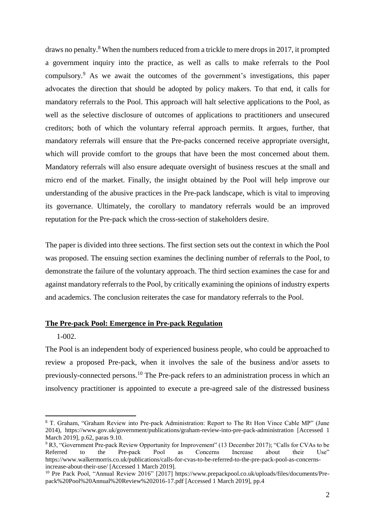draws no penalty.<sup>8</sup> When the numbers reduced from a trickle to mere drops in 2017, it prompted a government inquiry into the practice, as well as calls to make referrals to the Pool compulsory.<sup>9</sup> As we await the outcomes of the government's investigations, this paper advocates the direction that should be adopted by policy makers. To that end, it calls for mandatory referrals to the Pool. This approach will halt selective applications to the Pool, as well as the selective disclosure of outcomes of applications to practitioners and unsecured creditors; both of which the voluntary referral approach permits. It argues, further, that mandatory referrals will ensure that the Pre-packs concerned receive appropriate oversight, which will provide comfort to the groups that have been the most concerned about them. Mandatory referrals will also ensure adequate oversight of business rescues at the small and micro end of the market. Finally, the insight obtained by the Pool will help improve our understanding of the abusive practices in the Pre-pack landscape, which is vital to improving its governance. Ultimately, the corollary to mandatory referrals would be an improved reputation for the Pre-pack which the cross-section of stakeholders desire.

The paper is divided into three sections. The first section sets out the context in which the Pool was proposed. The ensuing section examines the declining number of referrals to the Pool, to demonstrate the failure of the voluntary approach. The third section examines the case for and against mandatory referrals to the Pool, by critically examining the opinions of industry experts and academics. The conclusion reiterates the case for mandatory referrals to the Pool.

# **The Pre-pack Pool: Emergence in Pre-pack Regulation**

#### 1-002.

<u>.</u>

The Pool is an independent body of experienced business people, who could be approached to review a proposed Pre-pack, when it involves the sale of the business and/or assets to previously-connected persons.<sup>10</sup> The Pre-pack refers to an administration process in which an insolvency practitioner is appointed to execute a pre-agreed sale of the distressed business

<sup>8</sup> T. Graham, "Graham Review into Pre-pack Administration: Report to The Rt Hon Vince Cable MP" (June 2014), https://www.gov.uk/government/publications/graham-review-into-pre-pack-administration [Accessed 1 March 2019], p.62, paras 9.10.

<sup>9</sup> R3, "Government Pre-pack Review Opportunity for Improvement" (13 December 2017); "Calls for CVAs to be Referred to the Pre-pack Pool as Concerns Increase about their Use" https://www.walkermorris.co.uk/publications/calls-for-cvas-to-be-referred-to-the-pre-pack-pool-as-concernsincrease-about-their-use/ [Accessed 1 March 2019].

<sup>&</sup>lt;sup>10</sup> Pre Pack Pool, "Annual Review 2016" [2017] https://www.prepackpool.co.uk/uploads/files/documents/Prepack%20Pool%20Annual%20Review%202016-17.pdf [Accessed 1 March 2019], pp.4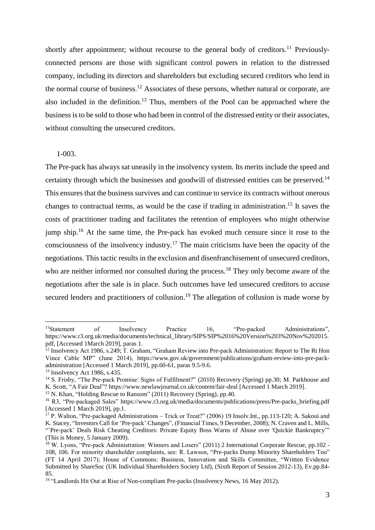shortly after appointment; without recourse to the general body of creditors.<sup>11</sup> Previouslyconnected persons are those with significant control powers in relation to the distressed company, including its directors and shareholders but excluding secured creditors who lend in the normal course of business.<sup>12</sup> Associates of these persons, whether natural or corporate, are also included in the definition. <sup>13</sup> Thus, members of the Pool can be approached where the business is to be sold to those who had been in control of the distressed entity or their associates, without consulting the unsecured creditors.

#### 1-003.

The Pre-pack has always sat uneasily in the insolvency system. Its merits include the speed and certainty through which the businesses and goodwill of distressed entities can be preserved.<sup>14</sup> This ensures that the business survives and can continue to service its contracts without onerous changes to contractual terms, as would be the case if trading in administration. <sup>15</sup> It saves the costs of practitioner trading and facilitates the retention of employees who might otherwise jump ship.<sup>16</sup> At the same time, the Pre-pack has evoked much censure since it rose to the consciousness of the insolvency industry.<sup>17</sup> The main criticisms have been the opacity of the negotiations. This tactic results in the exclusion and disenfranchisement of unsecured creditors, who are neither informed nor consulted during the process.<sup>18</sup> They only become aware of the negotiations after the sale is in place. Such outcomes have led unsecured creditors to accuse secured lenders and practitioners of collusion.<sup>19</sup> The allegation of collusion is made worse by

<sup>&</sup>lt;sup>11</sup>Statement of Insolvency Practice 16, "Pre-packed Administrations", https://www.r3.org.uk/media/documents/technical\_library/SIPS/SIP%2016%20Version%203%20Nov%202015. pdf, [Accessed 1March 2019], paras 1.

<sup>&</sup>lt;sup>12</sup> Insolvency Act 1986, s.249; T. Graham, "Graham Review into Pre-pack Administration: Report to The Rt Hon Vince Cable MP" (June 2014), https://www.gov.uk/government/publications/graham-review-into-pre-packadministration [Accessed 1 March 2019], pp.60-61, paras 9.5-9.6.

<sup>13</sup> Insolvency Act 1986, s.435.

<sup>14</sup> S. Frisby, "The Pre-pack Promise: Signs of Fulfilment?" (2010) Recovery (Spring) pp.30; M. Parkhouse and K. Scott, "A Fair Deal"? https://www.newlawjournal.co.uk/content/fair-deal [Accessed 1 March 2019].

<sup>15</sup> N. Khan, "Holding Rescue to Ransom" (2011) Recovery (Spring), pp.40.

<sup>16</sup> R3, "Pre-packaged Sales" https://www.r3.org.uk/media/documents/publications/press/Pre-packs\_briefing.pdf [Accessed 1 March 2019], pp.1.

<sup>17</sup> P. Walton, "Pre-packaged Administrations – Trick or Treat?" (2006) 19 Insolv.Int., pp.113-120; A. Sakoui and K. Stacey, "Investors Call for 'Pre-pack' Changes", (Financial Times, 9 December, 2008); N. Craven and L. Mills, "'Pre-pack' Deals Risk Cheating Creditors: Private Equity Boss Warns of Abuse over 'Quickie Bankruptcy'" (This is Money, 5 January 2009).

<sup>&</sup>lt;sup>18</sup> W. Lyons, "Pre-pack Administration: Winners and Losers" (2011) 2 International Corporate Rescue, pp.102 -108, 106. For minority shareholder complaints, see: R. Lawson, "Pre-packs Dump Minority Shareholders Too" (FT 14 April 2017); House of Commons: Business, Innovation and Skills Committee, "Written Evidence Submitted by ShareSoc (UK Individual Shareholders Society Ltd), (Sixth Report of Session 2012-13), Ev.pp.84- 85.

<sup>&</sup>lt;sup>19</sup> "Landlords Hit Out at Rise of Non-compliant Pre-packs (Insolvency News, 16 May 2012).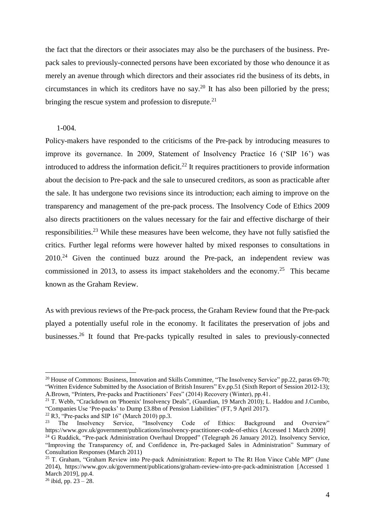the fact that the directors or their associates may also be the purchasers of the business. Prepack sales to previously-connected persons have been excoriated by those who denounce it as merely an avenue through which directors and their associates rid the business of its debts, in circumstances in which its creditors have no say.<sup>20</sup> It has also been pilloried by the press; bringing the rescue system and profession to disrepute. $21$ 

## 1-004.

Policy-makers have responded to the criticisms of the Pre-pack by introducing measures to improve its governance. In 2009, Statement of Insolvency Practice 16 ('SIP 16') was introduced to address the information deficit.<sup>22</sup> It requires practitioners to provide information about the decision to Pre-pack and the sale to unsecured creditors, as soon as practicable after the sale. It has undergone two revisions since its introduction; each aiming to improve on the transparency and management of the pre-pack process. The Insolvency Code of Ethics 2009 also directs practitioners on the values necessary for the fair and effective discharge of their responsibilities.<sup>23</sup> While these measures have been welcome, they have not fully satisfied the critics. Further legal reforms were however halted by mixed responses to consultations in 2010.<sup>24</sup> Given the continued buzz around the Pre-pack, an independent review was commissioned in 2013, to assess its impact stakeholders and the economy.<sup>25</sup> This became known as the Graham Review.

As with previous reviews of the Pre-pack process, the Graham Review found that the Pre-pack played a potentially useful role in the economy. It facilitates the preservation of jobs and businesses.<sup>26</sup> It found that Pre-packs typically resulted in sales to previously-connected

 $22$  R3, "Pre-packs and SIP 16" (March 2010) pp.3.

<u>.</u>

<sup>&</sup>lt;sup>20</sup> House of Commons: Business, Innovation and Skills Committee, "The Insolvency Service" pp.22, paras 69-70; "Written Evidence Submitted by the Association of British Insurers" Ev.pp.51 (Sixth Report of Session 2012-13); A.Brown, "Printers, Pre-packs and Practitioners' Fees" (2014) Recovery (Winter), pp.41.

<sup>&</sup>lt;sup>21</sup> T. Webb, "Crackdown on 'Phoenix' Insolvency Deals", (Guardian, 19 March 2010); L. Haddou and J.Cumbo, "Companies Use 'Pre-packs' to Dump £3.8bn of Pension Liabilities" (FT, 9 April 2017).

<sup>&</sup>lt;sup>23</sup> The Insolvency Service, "Insolvency Code of Ethics: Background and Overview" https://www.gov.uk/government/publications/insolvency-practitioner-code-of-ethics {Accessed 1 March 2009] <sup>24</sup> G Ruddick, "Pre-pack Administration Overhaul Dropped" (Telegraph 26 January 2012). Insolvency Service,

<sup>&</sup>quot;Improving the Transparency of, and Confidence in, Pre-packaged Sales in Administration" Summary of Consultation Responses (March 2011)

<sup>&</sup>lt;sup>25</sup> T. Graham, "Graham Review into Pre-pack Administration: Report to The Rt Hon Vince Cable MP" (June 2014), https://www.gov.uk/government/publications/graham-review-into-pre-pack-administration [Accessed 1 March 2019], pp.4.

 $26$  ibid, pp.  $23 - 28$ .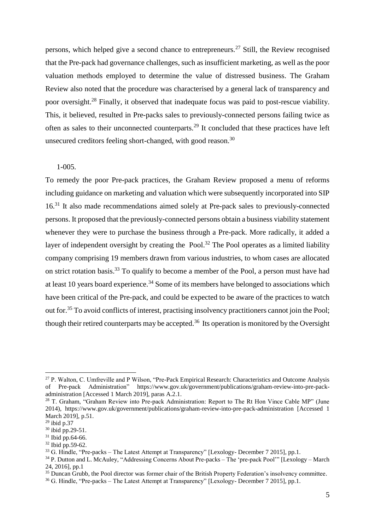persons, which helped give a second chance to entrepreneurs.<sup>27</sup> Still, the Review recognised that the Pre-pack had governance challenges, such as insufficient marketing, as well as the poor valuation methods employed to determine the value of distressed business. The Graham Review also noted that the procedure was characterised by a general lack of transparency and poor oversight.<sup>28</sup> Finally, it observed that inadequate focus was paid to post-rescue viability. This, it believed, resulted in Pre-packs sales to previously-connected persons failing twice as often as sales to their unconnected counterparts.<sup>29</sup> It concluded that these practices have left unsecured creditors feeling short-changed, with good reason.<sup>30</sup>

1-005.

To remedy the poor Pre-pack practices, the Graham Review proposed a menu of reforms including guidance on marketing and valuation which were subsequently incorporated into SIP 16.<sup>31</sup> It also made recommendations aimed solely at Pre-pack sales to previously-connected persons. It proposed that the previously-connected persons obtain a business viability statement whenever they were to purchase the business through a Pre-pack. More radically, it added a layer of independent oversight by creating the  $Pool$ .<sup>32</sup> The Pool operates as a limited liability company comprising 19 members drawn from various industries, to whom cases are allocated on strict rotation basis. <sup>33</sup> To qualify to become a member of the Pool, a person must have had at least 10 years board experience.<sup>34</sup> Some of its members have belonged to associations which have been critical of the Pre-pack, and could be expected to be aware of the practices to watch out for.<sup>35</sup> To avoid conflicts of interest, practising insolvency practitioners cannot join the Pool; though their retired counterparts may be accepted.<sup>36</sup> Its operation is monitored by the Oversight

<u>.</u>

<sup>&</sup>lt;sup>27</sup> P. Walton, C. Umfreville and P Wilson, "Pre-Pack Empirical Research: Characteristics and Outcome Analysis of Pre-pack Administration" https://www.gov.uk/government/publications/graham-review-into-pre-packadministration [Accessed 1 March 2019], paras A.2.1.

<sup>&</sup>lt;sup>28</sup> T. Graham, "Graham Review into Pre-pack Administration: Report to The Rt Hon Vince Cable MP" (June 2014), https://www.gov.uk/government/publications/graham-review-into-pre-pack-administration [Accessed 1 March 2019], p.51.

<sup>29</sup> ibid p.37

 $30$  ibid pp. 29-51.

<sup>31</sup> Ibid pp.64-66.

<sup>32</sup> Ibid pp.59-62.

<sup>33</sup> G. Hindle, "Pre-packs – The Latest Attempt at Transparency" [Lexology- December 7 2015], pp.1.

<sup>34</sup> P. Dutton and L. McAuley, "Addressing Concerns About Pre-packs – The 'pre-pack Pool'" [Lexology – March 24, 2016], pp.1

 $35$  Duncan Grubb, the Pool director was former chair of the British Property Federation's insolvency committee.

<sup>36</sup> G. Hindle, "Pre-packs – The Latest Attempt at Transparency" [Lexology- December 7 2015], pp.1.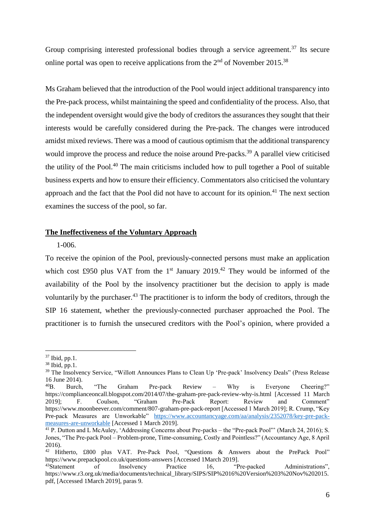Group comprising interested professional bodies through a service agreement.<sup>37</sup> Its secure online portal was open to receive applications from the  $2<sup>nd</sup>$  of November 2015.<sup>38</sup>

Ms Graham believed that the introduction of the Pool would inject additional transparency into the Pre-pack process, whilst maintaining the speed and confidentiality of the process. Also, that the independent oversight would give the body of creditors the assurances they sought that their interests would be carefully considered during the Pre-pack. The changes were introduced amidst mixed reviews. There was a mood of cautious optimism that the additional transparency would improve the process and reduce the noise around Pre-packs.<sup>39</sup> A parallel view criticised the utility of the Pool.<sup>40</sup> The main criticisms included how to pull together a Pool of suitable business experts and how to ensure their efficiency. Commentators also criticised the voluntary approach and the fact that the Pool did not have to account for its opinion.<sup>41</sup> The next section examines the success of the pool, so far.

#### **The Ineffectiveness of the Voluntary Approach**

1-006.

To receive the opinion of the Pool, previously-connected persons must make an application which cost £950 plus VAT from the  $1<sup>st</sup>$  January 2019.<sup>42</sup> They would be informed of the availability of the Pool by the insolvency practitioner but the decision to apply is made voluntarily by the purchaser.<sup>43</sup> The practitioner is to inform the body of creditors, through the SIP 16 statement, whether the previously-connected purchaser approached the Pool. The practitioner is to furnish the unsecured creditors with the Pool's opinion, where provided a

<u>.</u>

<sup>37</sup> Ibid, pp.1.

<sup>38</sup> Ibid, pp.1.

<sup>39</sup> The Insolvency Service, "Willott Announces Plans to Clean Up 'Pre-pack' Insolvency Deals" (Press Release 16 June 2014).

 $^{40}$ B. Burch, "The Graham Pre-pack Review – Why is Everyone Cheering?" https://complianceoncall.blogspot.com/2014/07/the-graham-pre-pack-review-why-is.html [Accessed 11 March 2019]; F. Coulson, "Graham Pre-Pack Report: Review and Comment" 2019]; F. Coulson, "Graham Pre-Pack Report: Review and Comment" https://www.moonbeever.com/comment/807-graham-pre-pack-report [Accessed 1 March 2019]; R. Crump, "Key Pre-pack Measures are Unworkable" https://www.accountancyage.com/aa/analysis/2352078/key-pre-packmeasures-are-unworkable [Accessed 1 March 2019].

<sup>&</sup>lt;sup>41</sup> P. Dutton and L McAuley, 'Addressing Concerns about Pre-packs – the "Pre-pack Pool"' (March 24, 2016); S. Jones, "The Pre-pack Pool – Problem-prone, Time-consuming, Costly and Pointless?" (Accountancy Age, 8 April 2016).

<sup>&</sup>lt;sup>42</sup> Hitherto, £800 plus VAT. Pre-Pack Pool, "Questions & Answers about the PrePack Pool" https://www.prepackpool.co.uk/questions-answers [Accessed 1March 2019].

<sup>43</sup>Statement of Insolvency Practice 16, "Pre-packed Administrations", https://www.r3.org.uk/media/documents/technical\_library/SIPS/SIP%2016%20Version%203%20Nov%202015. pdf, [Accessed 1March 2019], paras 9.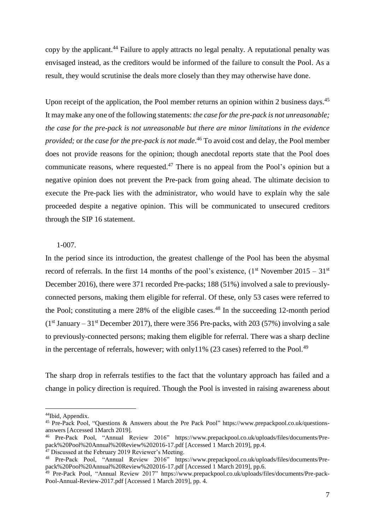copy by the applicant. <sup>44</sup> Failure to apply attracts no legal penalty. A reputational penalty was envisaged instead, as the creditors would be informed of the failure to consult the Pool. As a result, they would scrutinise the deals more closely than they may otherwise have done.

Upon receipt of the application, the Pool member returns an opinion within 2 business days.<sup>45</sup> It may make any one of the following statements: *the case for the pre-pack is not unreasonable; the case for the pre-pack is not unreasonable but there are minor limitations in the evidence provided;* or *the case for the pre-pack is not made*. <sup>46</sup> To avoid cost and delay, the Pool member does not provide reasons for the opinion; though anecdotal reports state that the Pool does communicate reasons, where requested.<sup>47</sup> There is no appeal from the Pool's opinion but a negative opinion does not prevent the Pre-pack from going ahead. The ultimate decision to execute the Pre-pack lies with the administrator, who would have to explain why the sale proceeded despite a negative opinion. This will be communicated to unsecured creditors through the SIP 16 statement.

# 1-007.

In the period since its introduction, the greatest challenge of the Pool has been the abysmal record of referrals. In the first 14 months of the pool's existence,  $(1<sup>st</sup> November 2015 - 31<sup>st</sup>)$ December 2016), there were 371 recorded Pre-packs; 188 (51%) involved a sale to previouslyconnected persons, making them eligible for referral. Of these, only 53 cases were referred to the Pool; constituting a mere 28% of the eligible cases.<sup>48</sup> In the succeeding 12-month period  $(1<sup>st</sup> January – 31<sup>st</sup> December 2017)$ , there were 356 Pre-packs, with 203 (57%) involving a sale to previously-connected persons; making them eligible for referral. There was a sharp decline in the percentage of referrals, however; with only11% (23 cases) referred to the Pool.<sup>49</sup>

The sharp drop in referrals testifies to the fact that the voluntary approach has failed and a change in policy direction is required. Though the Pool is invested in raising awareness about

1

<sup>47</sup> Discussed at the February 2019 Reviewer's Meeting.

<sup>44</sup>Ibid, Appendix.

<sup>45</sup> Pre-Pack Pool, "Questions & Answers about the Pre Pack Pool" https://www.prepackpool.co.uk/questionsanswers [Accessed 1March 2019].

<sup>46</sup> Pre-Pack Pool, "Annual Review 2016" https://www.prepackpool.co.uk/uploads/files/documents/Prepack%20Pool%20Annual%20Review%202016-17.pdf [Accessed 1 March 2019], pp.4.

<sup>48</sup> Pre-Pack Pool, "Annual Review 2016" https://www.prepackpool.co.uk/uploads/files/documents/Prepack%20Pool%20Annual%20Review%202016-17.pdf [Accessed 1 March 2019], pp.6.

<sup>&</sup>lt;sup>49</sup> Pre-Pack Pool, "Annual Review 2017" https://www.prepackpool.co.uk/uploads/files/documents/Pre-pack-Pool-Annual-Review-2017.pdf [Accessed 1 March 2019], pp. 4.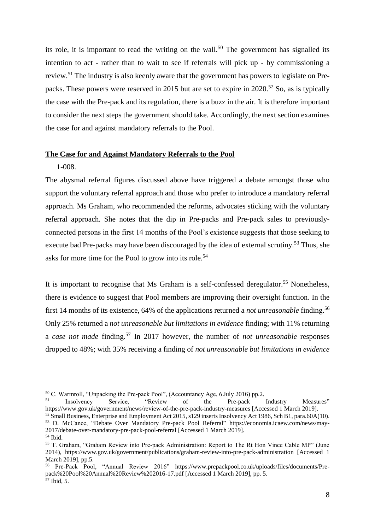its role, it is important to read the writing on the wall.<sup>50</sup> The government has signalled its intention to act - rather than to wait to see if referrals will pick up - by commissioning a review.<sup>51</sup> The industry is also keenly aware that the government has powers to legislate on Prepacks. These powers were reserved in 2015 but are set to expire in 2020.<sup>52</sup> So, as is typically the case with the Pre-pack and its regulation, there is a buzz in the air. It is therefore important to consider the next steps the government should take. Accordingly, the next section examines the case for and against mandatory referrals to the Pool.

#### **The Case for and Against Mandatory Referrals to the Pool**

1-008.

The abysmal referral figures discussed above have triggered a debate amongst those who support the voluntary referral approach and those who prefer to introduce a mandatory referral approach. Ms Graham, who recommended the reforms, advocates sticking with the voluntary referral approach. She notes that the dip in Pre-packs and Pre-pack sales to previouslyconnected persons in the first 14 months of the Pool's existence suggests that those seeking to execute bad Pre-packs may have been discouraged by the idea of external scrutiny.<sup>53</sup> Thus, she asks for more time for the Pool to grow into its role.<sup>54</sup>

It is important to recognise that Ms Graham is a self-confessed deregulator.<sup>55</sup> Nonetheless, there is evidence to suggest that Pool members are improving their oversight function. In the first 14 months of its existence, 64% of the applications returned a *not unreasonable* finding. 56 Only 25% returned a *not unreasonable but limitations in evidence* finding; with 11% returning a *case not made* finding.<sup>57</sup> In 2017 however, the number of *not unreasonable* responses dropped to 48%; with 35% receiving a finding of *not unreasonable but limitations in evidence*

<sup>&</sup>lt;sup>50</sup> C. Warmroll, "Unpacking the Pre-pack Pool", (Accountancy Age, 6 July 2016) pp.2.

<sup>51</sup> Insolvency Service, "Review of the Pre-pack Industry Measures" https://www.gov.uk/government/news/review-of-the-pre-pack-industry-measures [Accessed 1 March 2019]. <sup>52</sup> Small Business, Enterprise and Employment Act 2015, s129 inserts Insolvency Act 1986, Sch B1, para.60A(10).

<sup>53</sup> D. McCance, "Debate Over Mandatory Pre-pack Pool Referral" https://economia.icaew.com/news/may-2017/debate-over-mandatory-pre-pack-pool-referral [Accessed 1 March 2019].

<sup>54</sup> Ibid.

<sup>55</sup> T. Graham, "Graham Review into Pre-pack Administration: Report to The Rt Hon Vince Cable MP" (June 2014), https://www.gov.uk/government/publications/graham-review-into-pre-pack-administration [Accessed 1 March 20191, pp.5.

<sup>56</sup> Pre-Pack Pool, "Annual Review 2016" https://www.prepackpool.co.uk/uploads/files/documents/Prepack%20Pool%20Annual%20Review%202016-17.pdf [Accessed 1 March 2019], pp. 5.  $57$  Ibid, 5.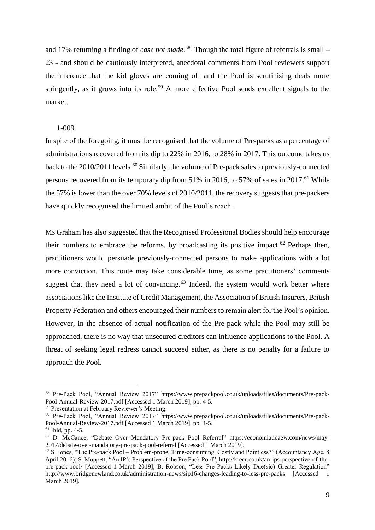and 17% returning a finding of *case not made*. 58 Though the total figure of referrals is small – 23 - and should be cautiously interpreted, anecdotal comments from Pool reviewers support the inference that the kid gloves are coming off and the Pool is scrutinising deals more stringently, as it grows into its role.<sup>59</sup> A more effective Pool sends excellent signals to the market.

## 1-009.

In spite of the foregoing, it must be recognised that the volume of Pre-packs as a percentage of administrations recovered from its dip to 22% in 2016, to 28% in 2017. This outcome takes us back to the 2010/2011 levels.<sup>60</sup> Similarly, the volume of Pre-pack sales to previously-connected persons recovered from its temporary dip from 51% in 2016, to 57% of sales in 2017.<sup>61</sup> While the 57% is lower than the over 70% levels of 2010/2011, the recovery suggests that pre-packers have quickly recognised the limited ambit of the Pool's reach.

Ms Graham has also suggested that the Recognised Professional Bodies should help encourage their numbers to embrace the reforms, by broadcasting its positive impact.<sup>62</sup> Perhaps then, practitioners would persuade previously-connected persons to make applications with a lot more conviction. This route may take considerable time, as some practitioners' comments suggest that they need a lot of convincing. $63$  Indeed, the system would work better where associations like the Institute of Credit Management, the Association of British Insurers, British Property Federation and others encouraged their numbers to remain alert for the Pool's opinion. However, in the absence of actual notification of the Pre-pack while the Pool may still be approached, there is no way that unsecured creditors can influence applications to the Pool. A threat of seeking legal redress cannot succeed either, as there is no penalty for a failure to approach the Pool.

<sup>58</sup> Pre-Pack Pool, "Annual Review 2017" https://www.prepackpool.co.uk/uploads/files/documents/Pre-pack-Pool-Annual-Review-2017.pdf [Accessed 1 March 2019], pp. 4-5.

<sup>59</sup> Presentation at February Reviewer's Meeting.

<sup>60</sup> Pre-Pack Pool, "Annual Review 2017" https://www.prepackpool.co.uk/uploads/files/documents/Pre-pack-Pool-Annual-Review-2017.pdf [Accessed 1 March 2019], pp. 4-5.

 $61$  Ibid, pp. 4-5.

<sup>62</sup> D. McCance, "Debate Over Mandatory Pre-pack Pool Referral" https://economia.icaew.com/news/may-2017/debate-over-mandatory-pre-pack-pool-referral [Accessed 1 March 2019].

 $^{63}$  S. Jones, "The Pre-pack Pool – Problem-prone, Time-consuming, Costly and Pointless?" (Accountancy Age, 8) April 2016); S. Moppett, "An IP's Perspective of the Pre Pack Pool", http://krecr.co.uk/an-ips-perspective-of-thepre-pack-pool/ [Accessed 1 March 2019]; B. Robson, "Less Pre Packs Likely Due(sic) Greater Regulation" http://www.bridgenewland.co.uk/administration-news/sip16-changes-leading-to-less-pre-packs [Accessed 1 March 2019].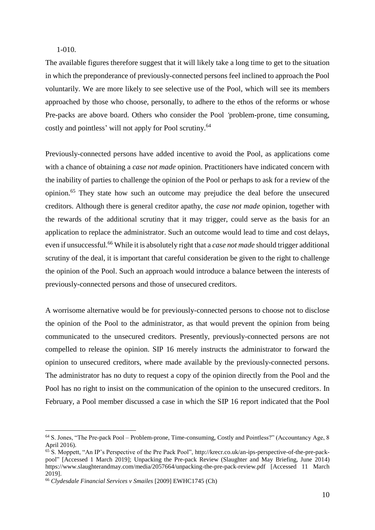1-010.

The available figures therefore suggest that it will likely take a long time to get to the situation in which the preponderance of previously-connected persons feel inclined to approach the Pool voluntarily. We are more likely to see selective use of the Pool, which will see its members approached by those who choose, personally, to adhere to the ethos of the reforms or whose Pre-packs are above board. Others who consider the Pool *'*problem-prone, time consuming, costly and pointless' will not apply for Pool scrutiny.<sup>64</sup>

Previously-connected persons have added incentive to avoid the Pool, as applications come with a chance of obtaining a *case not made* opinion. Practitioners have indicated concern with the inability of parties to challenge the opinion of the Pool or perhaps to ask for a review of the opinion.<sup>65</sup> They state how such an outcome may prejudice the deal before the unsecured creditors. Although there is general creditor apathy, the *case not made* opinion, together with the rewards of the additional scrutiny that it may trigger, could serve as the basis for an application to replace the administrator. Such an outcome would lead to time and cost delays, even if unsuccessful. <sup>66</sup> While it is absolutely right that a *case not made* should trigger additional scrutiny of the deal, it is important that careful consideration be given to the right to challenge the opinion of the Pool. Such an approach would introduce a balance between the interests of previously-connected persons and those of unsecured creditors.

A worrisome alternative would be for previously-connected persons to choose not to disclose the opinion of the Pool to the administrator, as that would prevent the opinion from being communicated to the unsecured creditors. Presently, previously-connected persons are not compelled to release the opinion. SIP 16 merely instructs the administrator to forward the opinion to unsecured creditors, where made available by the previously-connected persons. The administrator has no duty to request a copy of the opinion directly from the Pool and the Pool has no right to insist on the communication of the opinion to the unsecured creditors. In February, a Pool member discussed a case in which the SIP 16 report indicated that the Pool

<sup>64</sup> S. Jones, "The Pre-pack Pool – Problem-prone, Time-consuming, Costly and Pointless?" (Accountancy Age, 8 April 2016).

<sup>65</sup> S. Moppett, "An IP's Perspective of the Pre Pack Pool", http://krecr.co.uk/an-ips-perspective-of-the-pre-packpool" [Accessed 1 March 2019]; Unpacking the Pre-pack Review (Slaughter and May Briefing, June 2014) https://www.slaughterandmay.com/media/2057664/unpacking-the-pre-pack-review.pdf [Accessed 11 March 2019].

<sup>66</sup> *Clydesdale Financial Services v Smailes* [2009] EWHC1745 (Ch)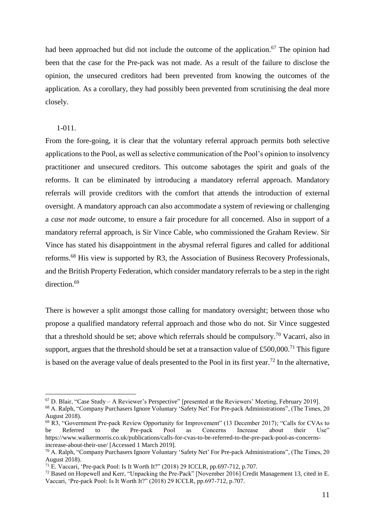had been approached but did not include the outcome of the application.<sup>67</sup> The opinion had been that the case for the Pre-pack was not made. As a result of the failure to disclose the opinion, the unsecured creditors had been prevented from knowing the outcomes of the application. As a corollary, they had possibly been prevented from scrutinising the deal more closely.

## 1-011.

<u>.</u>

From the fore-going, it is clear that the voluntary referral approach permits both selective applications to the Pool, as well as selective communication of the Pool's opinion to insolvency practitioner and unsecured creditors. This outcome sabotages the spirit and goals of the reforms. It can be eliminated by introducing a mandatory referral approach. Mandatory referrals will provide creditors with the comfort that attends the introduction of external oversight. A mandatory approach can also accommodate a system of reviewing or challenging a *case not made* outcome, to ensure a fair procedure for all concerned. Also in support of a mandatory referral approach, is Sir Vince Cable, who commissioned the Graham Review. Sir Vince has stated his disappointment in the abysmal referral figures and called for additional reforms.<sup>68</sup> His view is supported by R3, the Association of Business Recovery Professionals, and the British Property Federation, which consider mandatory referrals to be a step in the right direction.<sup>69</sup>

There is however a split amongst those calling for mandatory oversight; between those who propose a qualified mandatory referral approach and those who do not. Sir Vince suggested that a threshold should be set; above which referrals should be compulsory.<sup>70</sup> Vacarri, also in support, argues that the threshold should be set at a transaction value of £500,000.<sup>71</sup> This figure is based on the average value of deals presented to the Pool in its first year.<sup>72</sup> In the alternative,

<sup>67</sup> D. Blair, "Case Study – A Reviewer's Perspective" [presented at the Reviewers' Meeting, February 2019].

<sup>68</sup> A. Ralph, "Company Purchasers Ignore Voluntary 'Safety Net' For Pre-pack Administrations", (The Times, 20 August 2018).

 $^{69}$  R3, "Government Pre-pack Review Opportunity for Improvement" (13 December 2017); "Calls for CVAs to be Referred to the Pre-pack Pool as Concerns Increase about their Use" be Referred to the Pre-pack Pool as Concerns Increase about their Use" https://www.walkermorris.co.uk/publications/calls-for-cvas-to-be-referred-to-the-pre-pack-pool-as-concernsincrease-about-their-use/ [Accessed 1 March 2019].

<sup>70</sup> A. Ralph, "Company Purchasers Ignore Voluntary 'Safety Net' For Pre-pack Administrations", (The Times, 20 August 2018).

<sup>71</sup> E. Vaccari, 'Pre-pack Pool: Is It Worth It?" (2018) 29 ICCLR, pp.697-712, p.707.

<sup>&</sup>lt;sup>72</sup> Based on Hopewell and Kerr, "Unpacking the Pre-Pack" [November 2016] Credit Management 13, cited in E. Vaccari, 'Pre-pack Pool: Is It Worth It?" (2018) 29 ICCLR, pp.697-712, p.707.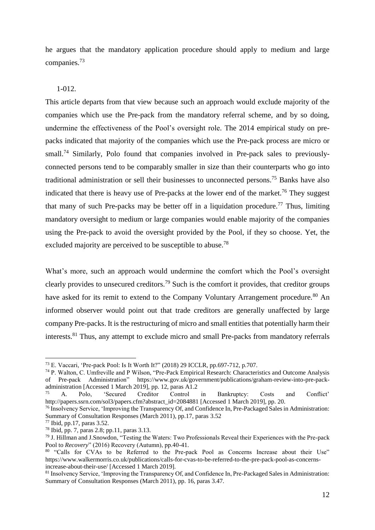he argues that the mandatory application procedure should apply to medium and large companies.<sup>73</sup>

#### 1-012.

This article departs from that view because such an approach would exclude majority of the companies which use the Pre-pack from the mandatory referral scheme, and by so doing, undermine the effectiveness of the Pool's oversight role. The 2014 empirical study on prepacks indicated that majority of the companies which use the Pre-pack process are micro or small.<sup>74</sup> Similarly, Polo found that companies involved in Pre-pack sales to previouslyconnected persons tend to be comparably smaller in size than their counterparts who go into traditional administration or sell their businesses to unconnected persons.<sup>75</sup> Banks have also indicated that there is heavy use of Pre-packs at the lower end of the market.<sup>76</sup> They suggest that many of such Pre-packs may be better off in a liquidation procedure.<sup>77</sup> Thus, limiting mandatory oversight to medium or large companies would enable majority of the companies using the Pre-pack to avoid the oversight provided by the Pool, if they so choose. Yet, the excluded majority are perceived to be susceptible to abuse.<sup>78</sup>

What's more, such an approach would undermine the comfort which the Pool's oversight clearly provides to unsecured creditors.<sup>79</sup> Such is the comfort it provides, that creditor groups have asked for its remit to extend to the Company Voluntary Arrangement procedure.<sup>80</sup> An informed observer would point out that trade creditors are generally unaffected by large company Pre-packs. It is the restructuring of micro and small entities that potentially harm their interests.<sup>81</sup> Thus, any attempt to exclude micro and small Pre-packs from mandatory referrals

<sup>73</sup> E. Vaccari, 'Pre-pack Pool: Is It Worth It?" (2018) 29 ICCLR, pp.697-712, p.707.

<sup>74</sup> P. Walton, C. Umfreville and P Wilson, "Pre-Pack Empirical Research: Characteristics and Outcome Analysis of Pre-pack Administration" https://www.gov.uk/government/publications/graham-review-into-pre-packadministration [Accessed 1 March 2019], pp. 12, paras A1.2

<sup>75</sup> A. Polo, 'Secured Creditor Control in Bankruptcy: Costs and Conflict' http://papers.ssrn.com/sol3/papers.cfm?abstract\_id=2084881 [Accessed 1 March 2019], pp. 20.

<sup>76</sup> Insolvency Service, 'Improving the Transparency Of, and Confidence In, Pre-Packaged Sales in Administration: Summary of Consultation Responses (March 2011), pp.17, paras 3.52

<sup>77</sup> Ibid, pp.17, paras 3.52.

<sup>78</sup> Ibid, pp. 7, paras 2.8; pp.11, paras 3.13.

<sup>79</sup> J. Hillman and J.Snowdon, "Testing the Waters: Two Professionals Reveal their Experiences with the Pre-pack Pool to *Recovery*" (2016) Recovery (Autumn), pp.40-41.

<sup>80</sup> "Calls for CVAs to be Referred to the Pre-pack Pool as Concerns Increase about their Use" https://www.walkermorris.co.uk/publications/calls-for-cvas-to-be-referred-to-the-pre-pack-pool-as-concernsincrease-about-their-use/ [Accessed 1 March 2019].

<sup>81</sup> Insolvency Service, 'Improving the Transparency Of, and Confidence In, Pre-Packaged Sales in Administration: Summary of Consultation Responses (March 2011), pp. 16, paras 3.47.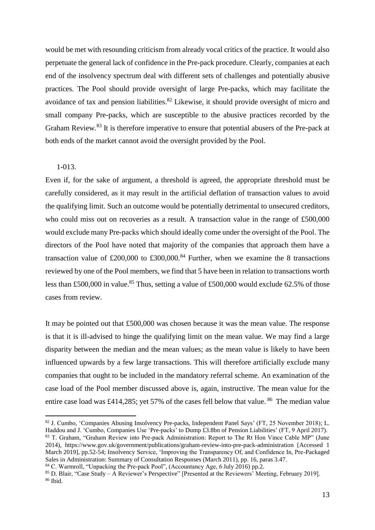would be met with resounding criticism from already vocal critics of the practice. It would also perpetuate the general lack of confidence in the Pre-pack procedure. Clearly, companies at each end of the insolvency spectrum deal with different sets of challenges and potentially abusive practices. The Pool should provide oversight of large Pre-packs, which may facilitate the avoidance of tax and pension liabilities.<sup>82</sup> Likewise, it should provide oversight of micro and small company Pre-packs, which are susceptible to the abusive practices recorded by the Graham Review.<sup>83</sup> It is therefore imperative to ensure that potential abusers of the Pre-pack at both ends of the market cannot avoid the oversight provided by the Pool.

#### 1-013.

<u>.</u>

Even if, for the sake of argument, a threshold is agreed, the appropriate threshold must be carefully considered, as it may result in the artificial deflation of transaction values to avoid the qualifying limit. Such an outcome would be potentially detrimental to unsecured creditors, who could miss out on recoveries as a result. A transaction value in the range of £500,000 would exclude many Pre-packs which should ideally come under the oversight of the Pool. The directors of the Pool have noted that majority of the companies that approach them have a transaction value of £200,000 to £300,000.<sup>84</sup> Further, when we examine the 8 transactions reviewed by one of the Pool members, we find that 5 have been in relation to transactions worth less than £500,000 in value.<sup>85</sup> Thus, setting a value of £500,000 would exclude 62.5% of those cases from review.

It may be pointed out that £500,000 was chosen because it was the mean value. The response is that it is ill-advised to hinge the qualifying limit on the mean value. We may find a large disparity between the median and the mean values; as the mean value is likely to have been influenced upwards by a few large transactions. This will therefore artificially exclude many companies that ought to be included in the mandatory referral scheme. An examination of the case load of the Pool member discussed above is, again, instructive. The mean value for the entire case load was £414,285; yet 57% of the cases fell below that value. <sup>86</sup> The median value

<sup>83</sup> T. Graham, "Graham Review into Pre-pack Administration: Report to The Rt Hon Vince Cable MP" (June 2014), https://www.gov.uk/government/publications/graham-review-into-pre-pack-administration [Accessed 1 March 2019], pp.52-54; Insolvency Service, 'Improving the Transparency Of, and Confidence In, Pre-Packaged Sales in Administration: Summary of Consultation Responses (March 2011), pp. 16, paras 3.47.

 $84$  C. Warmroll, "Unpacking the Pre-pack Pool", (Accountancy Age, 6 July 2016) pp.2.

<sup>82</sup> J. Cumbo, 'Companies Abusing Insolvency Pre-packs, Independent Panel Says' (FT, 25 November 2018); L. Haddou and J. 'Cumbo, Companies Use 'Pre-packs' to Dump £3.8bn of Pension Liabilities' (FT, 9 April 2017).

<sup>85</sup> D. Blair, "Case Study – A Reviewer's Perspective" [Presented at the Reviewers' Meeting, February 2019]. <sup>86</sup> Ibid.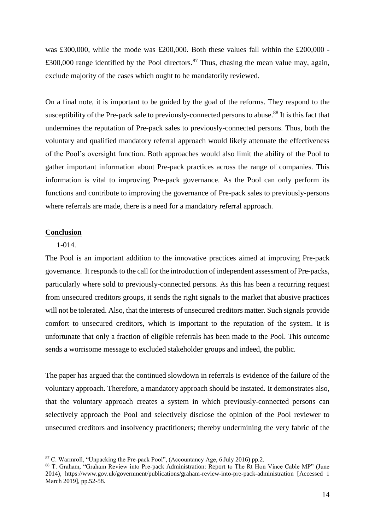was £300,000, while the mode was £200,000. Both these values fall within the £200,000 - £300,000 range identified by the Pool directors.<sup>87</sup> Thus, chasing the mean value may, again, exclude majority of the cases which ought to be mandatorily reviewed.

On a final note, it is important to be guided by the goal of the reforms. They respond to the susceptibility of the Pre-pack sale to previously-connected persons to abuse.<sup>88</sup> It is this fact that undermines the reputation of Pre-pack sales to previously-connected persons. Thus, both the voluntary and qualified mandatory referral approach would likely attenuate the effectiveness of the Pool's oversight function. Both approaches would also limit the ability of the Pool to gather important information about Pre-pack practices across the range of companies. This information is vital to improving Pre-pack governance. As the Pool can only perform its functions and contribute to improving the governance of Pre-pack sales to previously-persons where referrals are made, there is a need for a mandatory referral approach.

#### **Conclusion**

#### 1-014.

1

The Pool is an important addition to the innovative practices aimed at improving Pre-pack governance. It responds to the call for the introduction of independent assessment of Pre-packs, particularly where sold to previously-connected persons. As this has been a recurring request from unsecured creditors groups, it sends the right signals to the market that abusive practices will not be tolerated. Also, that the interests of unsecured creditors matter. Such signals provide comfort to unsecured creditors, which is important to the reputation of the system. It is unfortunate that only a fraction of eligible referrals has been made to the Pool. This outcome sends a worrisome message to excluded stakeholder groups and indeed, the public.

The paper has argued that the continued slowdown in referrals is evidence of the failure of the voluntary approach. Therefore, a mandatory approach should be instated. It demonstrates also, that the voluntary approach creates a system in which previously-connected persons can selectively approach the Pool and selectively disclose the opinion of the Pool reviewer to unsecured creditors and insolvency practitioners; thereby undermining the very fabric of the

<sup>87</sup> C. Warmroll, "Unpacking the Pre-pack Pool", (Accountancy Age, 6 July 2016) pp.2.

<sup>88</sup> T. Graham, "Graham Review into Pre-pack Administration: Report to The Rt Hon Vince Cable MP" (June 2014), https://www.gov.uk/government/publications/graham-review-into-pre-pack-administration [Accessed 1 March 2019], pp.52-58.